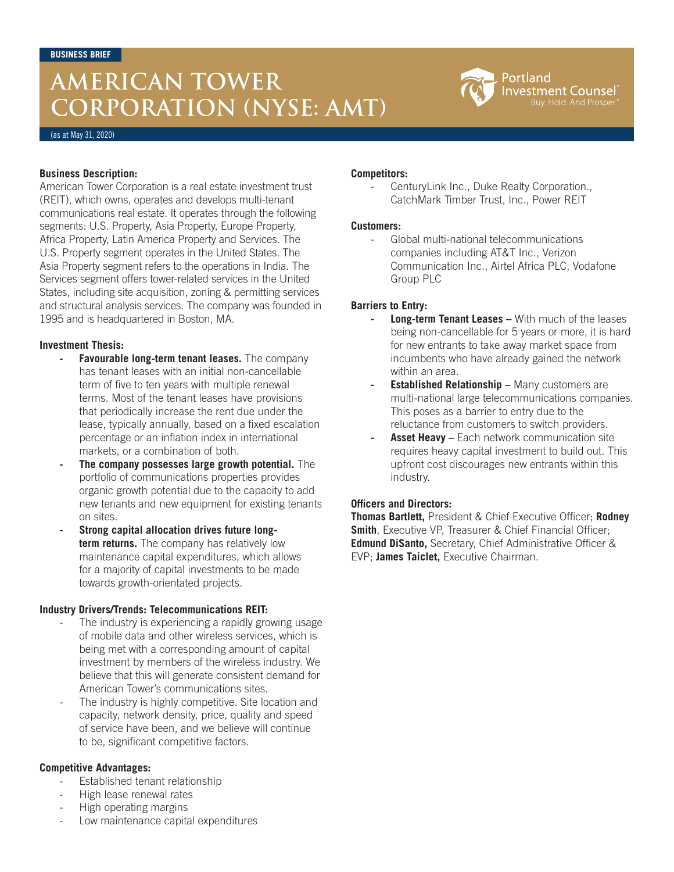# **AMERICAN TOWER CORPORATION (NYSE: AMT)**



(as at May 31, 2020)

## **Business Description:**

American Tower Corporation is a real estate investment trust (REIT), which owns, operates and develops multi-tenant communications real estate. It operates through the following segments: U.S. Property, Asia Property, Europe Property, Africa Property, Latin America Property and Services. The U.S. Property segment operates in the United States. The Asia Property segment refers to the operations in India. The Services segment offers tower-related services in the United States, including site acquisition, zoning & permitting services and structural analysis services. The company was founded in 1995 and is headquartered in Boston, MA.

## **Investment Thesis:**

- **- Favourable long-term tenant leases.** The company has tenant leases with an initial non-cancellable term of five to ten years with multiple renewal terms. Most of the tenant leases have provisions that periodically increase the rent due under the lease, typically annually, based on a fixed escalation percentage or an inflation index in international markets, or a combination of both.
- **- The company possesses large growth potential.** The portfolio of communications properties provides organic growth potential due to the capacity to add new tenants and new equipment for existing tenants on sites.
- **- Strong capital allocation drives future longterm returns.** The company has relatively low maintenance capital expenditures, which allows for a majority of capital investments to be made towards growth-orientated projects.

#### **Industry Drivers/Trends: Telecommunications REIT:**

- The industry is experiencing a rapidly growing usage of mobile data and other wireless services, which is being met with a corresponding amount of capital investment by members of the wireless industry. We believe that this will generate consistent demand for American Tower's communications sites.
- The industry is highly competitive. Site location and capacity, network density, price, quality and speed of service have been, and we believe will continue to be, significant competitive factors.

#### **Competitive Advantages:**

- Established tenant relationship
- High lease renewal rates
- High operating margins
- Low maintenance capital expenditures

# **Competitors:**

- CenturyLink Inc., Duke Realty Corporation., CatchMark Timber Trust, Inc., Power REIT

## **Customers:**

- Global multi-national telecommunications companies including AT&T Inc., Verizon Communication Inc., Airtel Africa PLC, Vodafone Group PLC

# **Barriers to Entry:**

- **Long-term Tenant Leases With much of the leases** being non-cancellable for 5 years or more, it is hard for new entrants to take away market space from incumbents who have already gained the network within an area.
- **Established Relationship Many customers are** multi-national large telecommunications companies. This poses as a barrier to entry due to the reluctance from customers to switch providers.
- **Asset Heavy –** Each network communication site requires heavy capital investment to build out. This upfront cost discourages new entrants within this industry.

#### **Officers and Directors:**

**Thomas Bartlett,** President & Chief Executive Officer; **Rodney Smith**, Executive VP, Treasurer & Chief Financial Officer; **Edmund DiSanto,** Secretary, Chief Administrative Officer & EVP; **James Taiclet,** Executive Chairman.